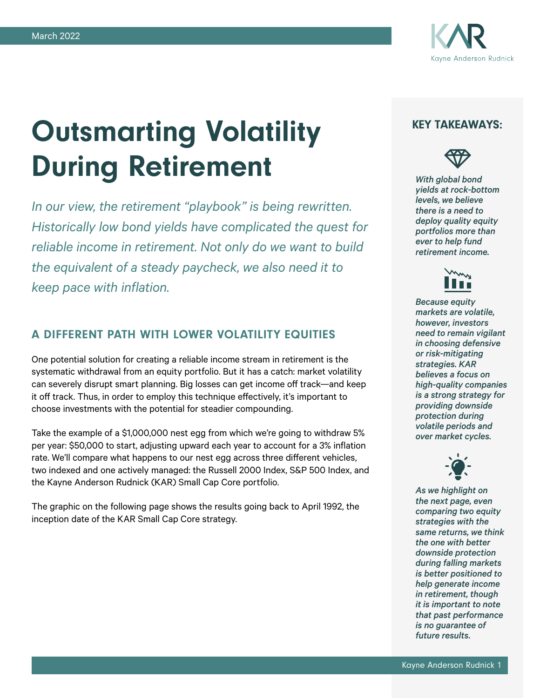

# Outsmarting Volatility During Retirement

*In our view, the retirement "playbook" is being rewritten. Historically low bond yields have complicated the quest for reliable income in retirement. Not only do we want to build the equivalent of a steady paycheck, we also need it to keep pace with inflation.*

### A DIFFERENT PATH WITH LOWER VOLATILITY EQUITIES

One potential solution for creating a reliable income stream in retirement is the systematic withdrawal from an equity portfolio. But it has a catch: market volatility can severely disrupt smart planning. Big losses can get income off track—and keep it off track. Thus, in order to employ this technique effectively, it's important to choose investments with the potential for steadier compounding.

Take the example of a \$1,000,000 nest egg from which we're going to withdraw 5% per year: \$50,000 to start, adjusting upward each year to account for a 3% inflation rate. We'll compare what happens to our nest egg across three different vehicles, two indexed and one actively managed: the Russell 2000 Index, S&P 500 Index, and the Kayne Anderson Rudnick (KAR) Small Cap Core portfolio.

The graphic on the following page shows the results going back to April 1992, the inception date of the KAR Small Cap Core strategy.

### KEY TAKEAWAYS:



*With global bond yields at rock-bottom levels, we believe there is a need to deploy quality equity portfolios more than ever to help fund retirement income.*



*Because equity markets are volatile, however, investors need to remain vigilant in choosing defensive or risk-mitigating strategies. KAR believes a focus on high-quality companies is a strong strategy for providing downside protection during volatile periods and over market cycles.*



*As we highlight on the next page, even comparing two equity strategies with the same returns, we think the one with better downside protection during falling markets is better positioned to help generate income in retirement, though it is important to note that past performance is no guarantee of future results.*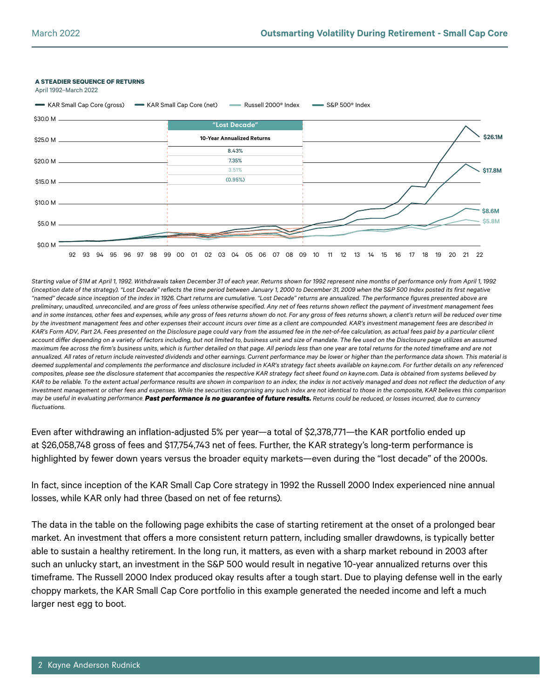



*Starting value of \$1M at April 1, 1992. Withdrawals taken December 31 of each year. Returns shown for 1992 represent nine months of performance only from April 1, 1992 (inception date of the strategy). "Lost Decade" reflects the time period between January 1, 2000 to December 31, 2009 when the S&P 500 Index posted its first negative "named" decade since inception of the index in 1926. Chart returns are cumulative. "Lost Decade" returns are annualized. The performance figures presented above are preliminary, unaudited, unreconciled, and are gross of fees unless otherwise specified. Any net of fees returns shown reflect the payment of investment management fees*  and in some instances, other fees and expenses, while any gross of fees returns shown do not. For any gross of fees returns shown, a client's return will be reduced over time *by the investment management fees and other expenses their account incurs over time as a client are compounded. KAR's investment management fees are described in KAR's Form ADV, Part 2A. Fees presented on the Disclosure page could vary from the assumed fee in the net-of-fee calculation, as actual fees paid by a particular client*  account differ depending on a variety of factors including, but not limited to, business unit and size of mandate. The fee used on the Disclosure page utilizes an assumed *maximum fee across the firm's business units, which is further detailed on that page. All periods less than one year are total returns for the noted timeframe and are not*  annualized. All rates of return include reinvested dividends and other earnings. Current performance may be lower or higher than the performance data shown. This material is *deemed supplemental and complements the performance and disclosure included in KAR's strategy fact sheets available on kayne.com. For further details on any referenced composites, please see the disclosure statement that accompanies the respective KAR strategy fact sheet found on kayne.com. Data is obtained from systems believed by*  KAR to be reliable. To the extent actual performance results are shown in comparison to an index, the index is not actively managed and does not reflect the deduction of any *investment management or other fees and expenses. While the securities comprising any such index are not identical to those in the composite, KAR believes this comparison may be useful in evaluating performance. Past performance is no guarantee of future results. Returns could be reduced, or losses incurred, due to currency fluctuations.*

Even after withdrawing an inflation-adjusted 5% per year—a total of \$2,378,771—the KAR portfolio ended up at \$26,058,748 gross of fees and \$17,754,743 net of fees. Further, the KAR strategy's long-term performance is highlighted by fewer down years versus the broader equity markets—even during the "lost decade" of the 2000s.

In fact, since inception of the KAR Small Cap Core strategy in 1992 the Russell 2000 Index experienced nine annual losses, while KAR only had three (based on net of fee returns).

The data in the table on the following page exhibits the case of starting retirement at the onset of a prolonged bear market. An investment that offers a more consistent return pattern, including smaller drawdowns, is typically better able to sustain a healthy retirement. In the long run, it matters, as even with a sharp market rebound in 2003 after such an unlucky start, an investment in the S&P 500 would result in negative 10-year annualized returns over this timeframe. The Russell 2000 Index produced okay results after a tough start. Due to playing defense well in the early choppy markets, the KAR Small Cap Core portfolio in this example generated the needed income and left a much larger nest egg to boot.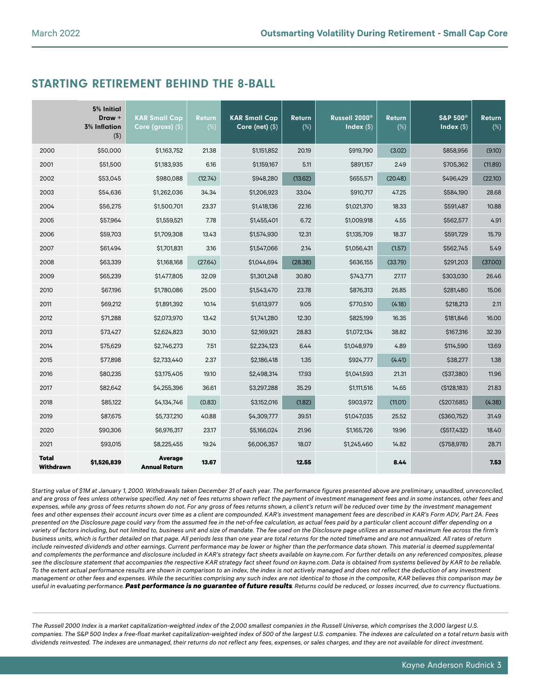## STARTING RETIREMENT BEHIND THE 8-BALL

|                           | 5% Initial<br>Draw +<br><b>3% Inflation</b><br>$($ \$) | <b>KAR Small Cap</b><br>Core (gross) $($ \$) | <b>Return</b><br>$(\%)$ | <b>KAR Small Cap</b><br>Core (net) $($ \$) | <b>Return</b><br>$(\%)$ | Russell 2000 <sup>®</sup><br>Index $(\$)$ | <b>Return</b><br>(%) | <b>S&amp;P 500®</b><br>Index $(\$)$ | <b>Return</b><br>$(\%)$ |
|---------------------------|--------------------------------------------------------|----------------------------------------------|-------------------------|--------------------------------------------|-------------------------|-------------------------------------------|----------------------|-------------------------------------|-------------------------|
| 2000                      | \$50,000                                               | \$1,163,752                                  | 21.38                   | \$1,151,852                                | 20.19                   | \$919,790                                 | (3.02)               | \$858,956                           | (9.10)                  |
| 2001                      | \$51,500                                               | \$1,183,935                                  | 6.16                    | \$1,159,167                                | 5.11                    | \$891,157                                 | 2.49                 | \$705,362                           | (11.89)                 |
| 2002                      | \$53,045                                               | \$980,088                                    | (12.74)                 | \$948,280                                  | (13.62)                 | \$655,571                                 | (20.48)              | \$496,429                           | (22.10)                 |
| 2003                      | \$54,636                                               | \$1,262,036                                  | 34.34                   | \$1,206,923                                | 33.04                   | \$910,717                                 | 47.25                | \$584,190                           | 28.68                   |
| 2004                      | \$56,275                                               | \$1,500,701                                  | 23.37                   | \$1,418,136                                | 22.16                   | \$1,021,370                               | 18.33                | \$591,487                           | 10.88                   |
| 2005                      | \$57,964                                               | \$1,559,521                                  | 7.78                    | \$1,455,401                                | 6.72                    | \$1,009,918                               | 4.55                 | \$562,577                           | 4.91                    |
| 2006                      | \$59,703                                               | \$1,709,308                                  | 13.43                   | \$1,574,930                                | 12.31                   | \$1,135,709                               | 18.37                | \$591,729                           | 15.79                   |
| 2007                      | \$61,494                                               | \$1,701,831                                  | 3.16                    | \$1,547,066                                | 2.14                    | \$1,056,431                               | (1.57)               | \$562,745                           | 5.49                    |
| 2008                      | \$63,339                                               | \$1,168,168                                  | (27.64)                 | \$1,044,694                                | (28.38)                 | \$636,155                                 | (33.79)              | \$291,203                           | (37.00)                 |
| 2009                      | \$65,239                                               | \$1,477,805                                  | 32.09                   | \$1,301,248                                | 30.80                   | \$743,771                                 | 27.17                | \$303,030                           | 26.46                   |
| 2010                      | \$67,196                                               | \$1,780,086                                  | 25.00                   | \$1,543,470                                | 23.78                   | \$876,313                                 | 26.85                | \$281,480                           | 15.06                   |
| 2011                      | \$69,212                                               | \$1,891,392                                  | 10.14                   | \$1,613,977                                | 9.05                    | \$770,510                                 | (4.18)               | \$218,213                           | 2.11                    |
| 2012                      | \$71,288                                               | \$2,073,970                                  | 13.42                   | \$1,741,280                                | 12.30                   | \$825,199                                 | 16.35                | \$181,846                           | 16.00                   |
| 2013                      | \$73,427                                               | \$2,624,823                                  | 30.10                   | \$2,169,921                                | 28.83                   | \$1,072,134                               | 38.82                | \$167,316                           | 32.39                   |
| 2014                      | \$75,629                                               | \$2,746,273                                  | 7.51                    | \$2,234,123                                | 6.44                    | \$1,048,979                               | 4.89                 | \$114,590                           | 13.69                   |
| 2015                      | \$77,898                                               | \$2,733,440                                  | 2.37                    | \$2,186,418                                | 1.35                    | \$924,777                                 | (4.41)               | \$38,277                            | 1.38                    |
| 2016                      | \$80,235                                               | \$3,175,405                                  | 19.10                   | \$2,498,314                                | 17.93                   | \$1,041,593                               | 21.31                | ( \$37, 380)                        | 11.96                   |
| 2017                      | \$82,642                                               | \$4,255,396                                  | 36.61                   | \$3,297,288                                | 35.29                   | \$1,111,516                               | 14.65                | ( \$128, 183)                       | 21.83                   |
| 2018                      | \$85,122                                               | \$4,134,746                                  | (0.83)                  | \$3,152,016                                | (1.82)                  | \$903,972                                 | (11.01)              | ( \$207,685)                        | (4.38)                  |
| 2019                      | \$87,675                                               | \$5,737,210                                  | 40.88                   | \$4,309,777                                | 39.51                   | \$1,047,035                               | 25.52                | ( \$360, 752)                       | 31.49                   |
| 2020                      | \$90,306                                               | \$6,976,317                                  | 23.17                   | \$5,166,024                                | 21.96                   | \$1,165,726                               | 19.96                | ( \$517,432)                        | 18.40                   |
| 2021                      | \$93,015                                               | \$8,225,455                                  | 19.24                   | \$6,006,357                                | 18.07                   | \$1,245,460                               | 14.82                | (\$758,978)                         | 28.71                   |
| <b>Total</b><br>Withdrawn | \$1,526,839                                            | <b>Average</b><br><b>Annual Return</b>       | 13.67                   |                                            | 12.55                   |                                           | 8.44                 |                                     | 7.53                    |

*Starting value of \$1M at January 1, 2000. Withdrawals taken December 31 of each year. The performance figures presented above are preliminary, unaudited, unreconciled,*  and are gross of fees unless otherwise specified. Any net of fees returns shown reflect the payment of investment management fees and in some instances, other fees and *expenses, while any gross of fees returns shown do not. For any gross of fees returns shown, a client's return will be reduced over time by the investment management*  fees and other expenses their account incurs over time as a client are compounded. KAR's investment management fees are described in KAR's Form ADV, Part 2A. Fees *presented on the Disclosure page could vary from the assumed fee in the net-of-fee calculation, as actual fees paid by a particular client account differ depending on a*  variety of factors including, but not limited to, business unit and size of mandate. The fee used on the Disclosure page utilizes an assumed maximum fee across the firm's *business units, which is further detailed on that page. All periods less than one year are total returns for the noted timeframe and are not annualized. All rates of return*  include reinvested dividends and other earnings. Current performance may be lower or higher than the performance data shown. This material is deemed supplemental and complements the performance and disclosure included in KAR's strategy fact sheets available on kayne.com. For further details on any referenced composites, please *see the disclosure statement that accompanies the respective KAR strategy fact sheet found on kayne.com. Data is obtained from systems believed by KAR to be reliable. To the extent actual performance results are shown in comparison to an index, the index is not actively managed and does not reflect the deduction of any investment management or other fees and expenses. While the securities comprising any such index are not identical to those in the composite, KAR believes this comparison may be useful in evaluating performance. Past performance is no guarantee of future results. Returns could be reduced, or losses incurred, due to currency fluctuations.*

*The Russell 2000 Index is a market capitalization-weighted index of the 2,000 smallest companies in the Russell Universe, which comprises the 3,000 largest U.S. companies. The S&P 500 Index a free-float market capitalization-weighted index of 500 of the largest U.S. companies. The indexes are calculated on a total return basis with dividends reinvested. The indexes are unmanaged, their returns do not reflect any fees, expenses, or sales charges, and they are not available for direct investment.*